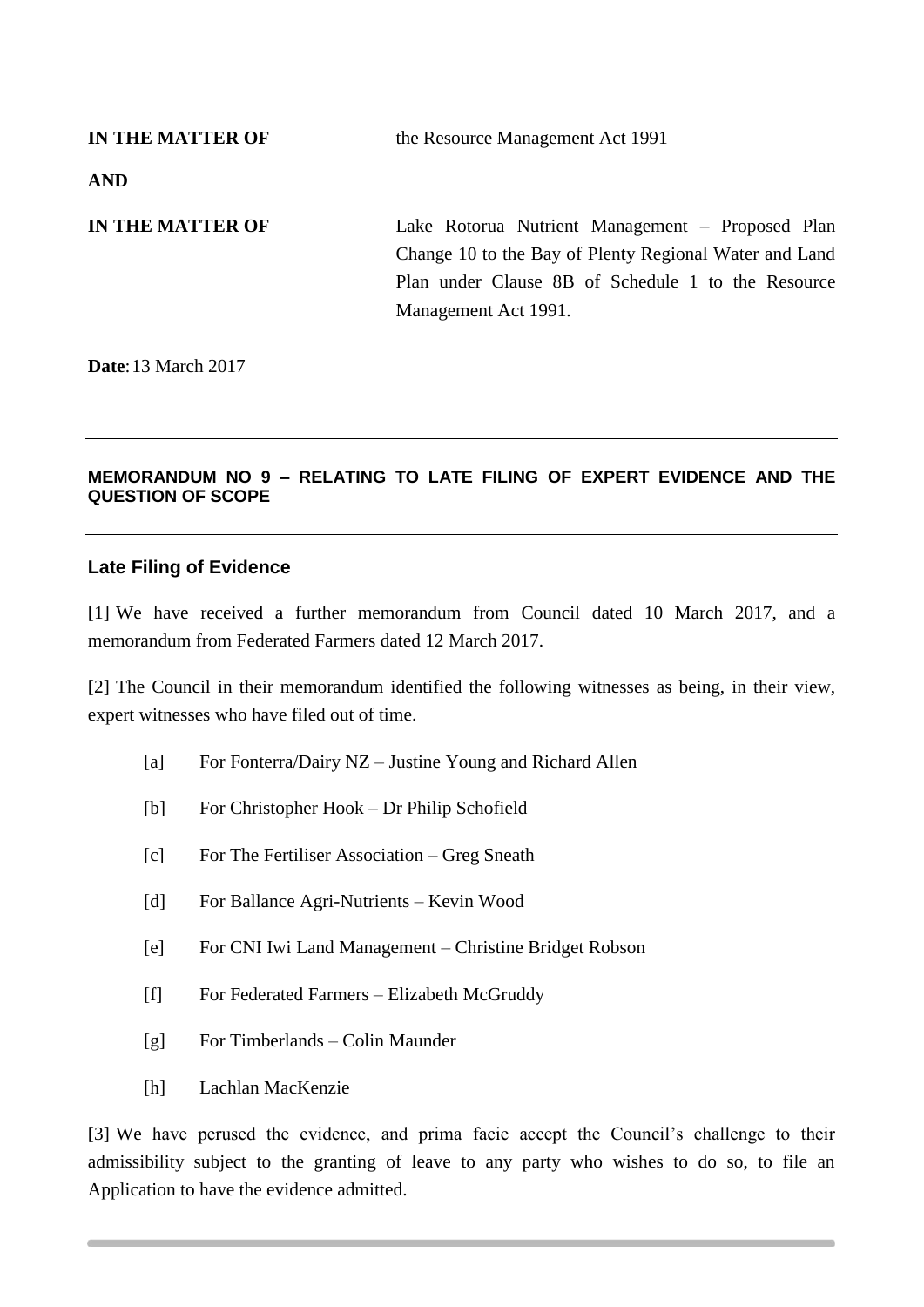**IN THE MATTER OF** the Resource Management Act 1991 **AND IN THE MATTER OF** Lake Rotorua Nutrient Management – Proposed Plan Change 10 to the Bay of Plenty Regional Water and Land Plan under Clause 8B of Schedule 1 to the Resource Management Act 1991.

**Date**:13 March 2017

## **MEMORANDUM NO 9 – RELATING TO LATE FILING OF EXPERT EVIDENCE AND THE QUESTION OF SCOPE**

## **Late Filing of Evidence**

[1] We have received a further memorandum from Council dated 10 March 2017, and a memorandum from Federated Farmers dated 12 March 2017.

[2] The Council in their memorandum identified the following witnesses as being, in their view, expert witnesses who have filed out of time.

- [a] For Fonterra/Dairy NZ Justine Young and Richard Allen
- [b] For Christopher Hook Dr Philip Schofield
- [c] For The Fertiliser Association Greg Sneath
- [d] For Ballance Agri-Nutrients Kevin Wood
- [e] For CNI Iwi Land Management Christine Bridget Robson
- [f] For Federated Farmers Elizabeth McGruddy
- [g] For Timberlands Colin Maunder
- [h] Lachlan MacKenzie

[3] We have perused the evidence, and prima facie accept the Council's challenge to their admissibility subject to the granting of leave to any party who wishes to do so, to file an Application to have the evidence admitted.